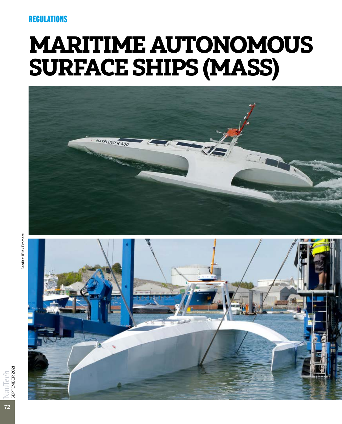## **REGULATIONS**

# MARITIME AUTONOMOUS SURFACE SHIPS (MASS)



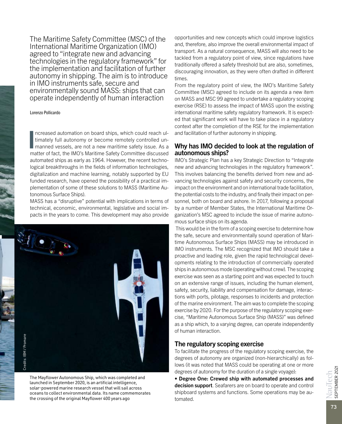The Maritime Safety Committee (MSC) of the International Maritime Organization (IMO) agreed to "integrate new and advancing technologies in the regulatory framework" for the implementation and facilitation of further autonomy in shipping. The aim is to introduce in IMO instruments safe, secure and environmentally sound MASS: ships that can operate independently of human interaction

#### Lorenzo Pollicardo

I ncreased automation on board ships, which could reach ultimately full autonomy or become remotely controlled unmanned vessels, are not a new maritime safety issue. As a matter of fact, the IMO's Maritime Safety Committee discussed automated ships as early as 1964. However, the recent technological breakthroughs in the fields of information technologies, digitalization and machine learning, notably supported by EU funded research, have opened the possibility of a practical implementation of some of these solutions to MASS (Maritime Autonomous Surface Ships).

MASS has a "disruptive" potential with implications in terms of technical, economic, environmental, legislative and social impacts in the years to come. This development may also provide



The Mayflower Autonomous Ship, which was completed and launched in September 2020, is an artificial intelligence, solar-powered marine research vessel that will sail across oceans to collect environmental data. Its name commemorates the crossing of the original Mayflower 400 years ago

opportunities and new concepts which could improve logistics and, therefore, also improve the overall environmental impact of transport. As a natural consequence, MASS will also need to be tackled from a regulatory point of view, since regulations have traditionally offered a safety threshold but are also, sometimes, discouraging innovation, as they were often drafted in different times.

From the regulatory point of view, the IMO's Maritime Safety Committee (MSC) agreed to include on its agenda a new item on MASS and MSC 99 agreed to undertake a regulatory scoping exercise (RSE) to assess the impact of MASS upon the existing international maritime safety regulatory framework. It is expected that significant work will have to take place in a regulatory context after the completion of the RSE for the implementation and facilitation of further autonomy in shipping.

### Why has IMO decided to look at the regulation of autonomous ships?

IMO's Strategic Plan has a key Strategic Direction to "Integrate new and advancing technologies in the regulatory framework". This involves balancing the benefits derived from new and advancing technologies against safety and security concerns, the impact on the environment and on international trade facilitation, the potential costs to the industry, and finally their impact on personnel, both on board and ashore. In 2017, following a proposal by a number of Member States, the International Maritime Organization's MSC agreed to include the issue of marine autonomous surface ships on its agenda.

 This would be in the form of a scoping exercise to determine how the safe, secure and environmentally sound operation of Maritime Autonomous Surface Ships (MASS) may be introduced in IMO instruments. The MSC recognized that IMO should take a proactive and leading role, given the rapid technological developments relating to the introduction of commercially operated ships in autonomous mode (operating without crew). The scoping exercise was seen as a starting point and was expected to touch on an extensive range of issues, including the human element, safety, security, liability and compensation for damage, interactions with ports, pilotage, responses to incidents and protection of the marine environment. The aim was to complete the scoping exercise by 2020. For the purpose of the regulatory scoping exercise, "Maritime Autonomous Surface Ship (MASS)" was defined as a ship which, to a varying degree, can operate independently of human interaction.

#### The regulatory scoping exercise

To facilitate the progress of the regulatory scoping exercise, the degrees of autonomy are organized (non-hierarchically) as follows (it was noted that MASS could be operating at one or more degrees of autonomy for the duration of a single voyage):

• Degree One: Crewed ship with automated processes and decision support. Seafarers are on board to operate and control shipboard systems and functions. Some operations may be automated.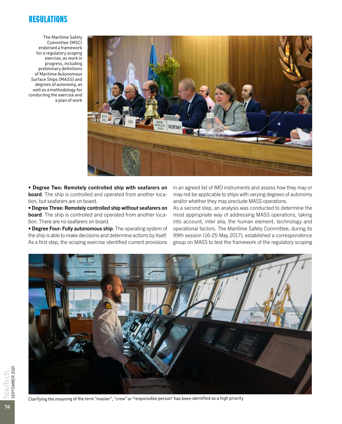## **REGULATIONS**

The Maritime Safety Committee (MSC) endorsed a framework for a regulatory scoping exercise, as work in progress, including preliminary definitions of Maritime Autonomous Surface Ships (MASS) and degrees of autonomy, as well as a methodology for conducting the exercise and a plan of work



• Degree Two: Remotely controlled ship with seafarers on board. The ship is controlled and operated from another location, but seafarers are on board.

• Degree Three: Remotely controlled ship without seafarers on **board**. The ship is controlled and operated from another location. There are no seafarers on board.

• Degree Four: Fully autonomous ship. The operating system of the ship is able to make decisions and determine actions by itself. As a first step, the scoping exercise identified current provisions

in an agreed list of IMO instruments and assess how they may or may not be applicable to ships with varying degrees of autonomy and/or whether they may preclude MASS operations.

As a second step, an analysis was conducted to determine the most appropriate way of addressing MASS operations, taking into account, inter alia, the human element, technology and operational factors. The Maritime Safety Committee, during its 99th session (16-25 May 2017), established a correspondence group on MASS to test the framework of the regulatory scoping



Clarifying the meaning of the term "master", "crew" or "responsible person" has been identified as a high priority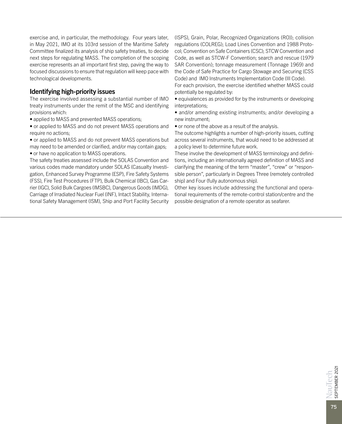exercise and, in particular, the methodology. Four years later, in May 2021, IMO at its 103rd session of the Maritime Safety Committee finalized its analysis of ship safety treaties, to decide next steps for regulating MASS. The completion of the scoping exercise represents an all important first step, paving the way to focused discussions to ensure that regulation will keep pace with technological developments.

## Identifying high-priority issues

The exercise involved assessing a substantial number of IMO treaty instruments under the remit of the MSC and identifying provisions which:

• applied to MASS and prevented MASS operations;

• or applied to MASS and do not prevent MASS operations and require no actions;

• or applied to MASS and do not prevent MASS operations but may need to be amended or clarified, and/or may contain gaps;

• or have no application to MASS operations.

The safety treaties assessed include the SOLAS Convention and various codes made mandatory under SOLAS (Casualty Investigation, Enhanced Survey Programme (ESP), Fire Safety Systems (FSS), Fire Test Procedures (FTP), Bulk Chemical (IBC), Gas Carrier (IGC), Solid Bulk Cargoes (IMSBC), Dangerous Goods (IMDG), Carriage of Irradiated Nuclear Fuel (INF), Intact Stability, International Safety Management (ISM), Ship and Port Facility Security (ISPS), Grain, Polar, Recognized Organizations (RO)); collision regulations (COLREG); Load Lines Convention and 1988 Protocol; Convention on Safe Containers (CSC); STCW Convention and Code, as well as STCW-F Convention; search and rescue (1979 SAR Convention); tonnage measurement (Tonnage 1969) and the Code of Safe Practice for Cargo Stowage and Securing (CSS Code) and IMO Instruments Implementation Code (III Code).

For each provision, the exercise identified whether MASS could potentially be regulated by:

• equivalences as provided for by the instruments or developing interpretations;

• and/or amending existing instruments; and/or developing a new instrument;

• or none of the above as a result of the analysis.

The outcome highlights a number of high-priority issues, cutting across several instruments, that would need to be addressed at a policy level to determine future work.

These involve the development of MASS terminology and definitions, including an internationally agreed definition of MASS and clarifying the meaning of the term "master", "crew" or "responsible person", particularly in Degrees Three (remotely controlled ship) and Four (fully autonomous ship).

Other key issues include addressing the functional and operational requirements of the remote-control station/centre and the possible designation of a remote operator as seafarer.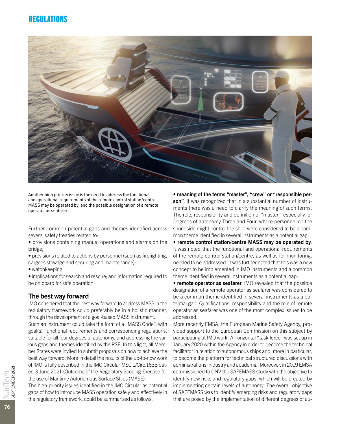## REGULATIONS



Another high priority issue is the need to address the functional and operational requirements of the remote control station/centre MASS may be operated by, and the possible designation of a remote operator as seafarer

Further common potential gaps and themes identified across several safety treaties related to:

• provisions containing manual operations and alarms on the bridge;

• provisions related to actions by personnel (such as firefighting, cargoes stowage and securing and maintenance);

• watchkeeping;

• implications for search and rescue; and information required to be on board for safe operation.

## The best way forward

IMO considered that the best way forward to address MASS in the regulatory framework could preferably be in a holistic manner, through the development of a goal-based MASS instrument.

Such an instrument could take the form of a "MASS Code", with goal(s), functional requirements and corresponding regulations, suitable for all four degrees of autonomy, and addressing the various gaps and themes identified by the RSE. In this light, all Member States were invited to submit proposals on how to achieve the best way forward. More in detail the results of the up-to-now work of IMO is fully described in the IMO Circular MSC.1/Circ.1638 dated 3 June 2021 (Outcome of the Regulatory Scoping Exercise for the use of Maritime Autonomous Surface Ships (MASS).

The high-priority issues identified in the IMO Circular as potential gaps of how to introduce MASS operation safely and effectively in the regulatory framework, could be summarized as follows:

• meaning of the terms "master", "crew" or "responsible person". It was recognized that in a substantial number of instruments there was a need to clarify the meaning of such terms. The role, responsibility and definition of "master", especially for Degrees of autonomy Three and Four, where personnel on the shore side might control the ship, were considered to be a common theme identified in several instruments as a potential gap;

• remote control station/centre MASS may be operated by. It was noted that the functional and operational requirements of the remote control station/centre, as well as for monitoring, needed to be addressed. It was further noted that this was a new concept to be implemented in IMO instruments and a common theme identified in several instruments as a potential gap;

• remote operator as seafarer. IMO revealed that the possible designation of a remote operator as seafarer was considered to be a common theme identified in several instruments as a potential gap. Qualifications, responsibility and the role of remote operator as seafarer was one of the most complex issues to be addressed.

More recently EMSA, the European Marine Safety Agency, provided support to the European Commission on this subject by participating at IMO work. A horizontal "task force" was set up in January 2020 within the Agency in order to become the technical facilitator in relation to autonomous ships and, more in particular, to become the platform for technical structured discussions with administrations, industry and academia. Moreover, in 2019 EMSA commissioned to DNV the SAFEMASS study with the objective to identify new risks and regulatory gaps, which will be created by implementing certain levels of autonomy. The overall objective of SAFEMASS was to identify emerging risks and regulatory gaps that are posed by the implementation of different degrees of au